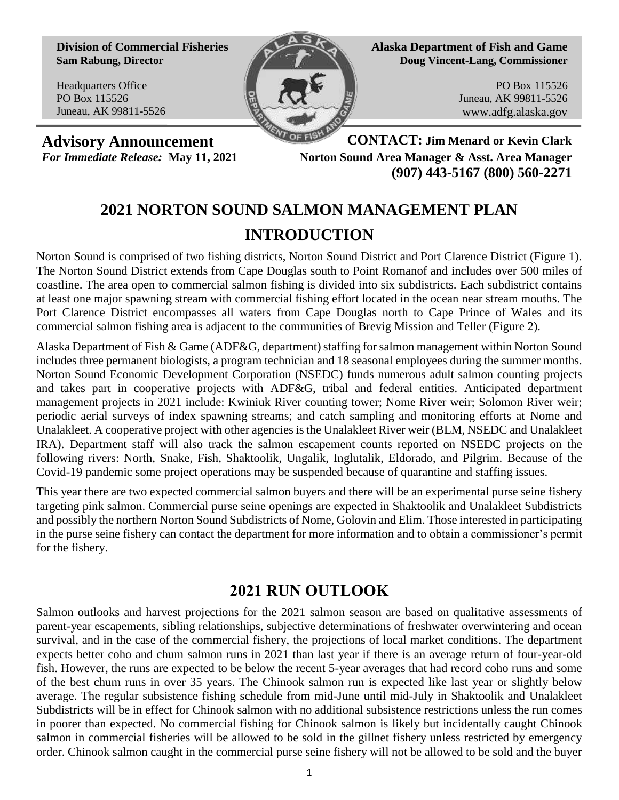**Division of Commercial Fisheries Sam Rabung, Director**

Headquarters Office PO Box 115526 Juneau, AK 99811-5526



**Alaska Department of Fish and Game Doug Vincent-Lang, Commissioner**

> PO Box 115526 Juneau, AK 99811-5526 www.adfg.alaska.gov

**Advisory Announcement CONTACT: Jim Menard or Kevin Clark** *For Immediate Release:* **May 11, 2021 Norton Sound Area Manager & Asst. Area Manager (907) 443-5167 (800) 560-2271**

# **2021 NORTON SOUND SALMON MANAGEMENT PLAN INTRODUCTION**

Norton Sound is comprised of two fishing districts, Norton Sound District and Port Clarence District (Figure 1). The Norton Sound District extends from Cape Douglas south to Point Romanof and includes over 500 miles of coastline. The area open to commercial salmon fishing is divided into six subdistricts. Each subdistrict contains at least one major spawning stream with commercial fishing effort located in the ocean near stream mouths. The Port Clarence District encompasses all waters from Cape Douglas north to Cape Prince of Wales and its commercial salmon fishing area is adjacent to the communities of Brevig Mission and Teller (Figure 2).

Alaska Department of Fish & Game (ADF&G, department) staffing for salmon management within Norton Sound includes three permanent biologists, a program technician and 18 seasonal employees during the summer months. Norton Sound Economic Development Corporation (NSEDC) funds numerous adult salmon counting projects and takes part in cooperative projects with ADF&G, tribal and federal entities. Anticipated department management projects in 2021 include: Kwiniuk River counting tower; Nome River weir; Solomon River weir; periodic aerial surveys of index spawning streams; and catch sampling and monitoring efforts at Nome and Unalakleet. A cooperative project with other agencies is the Unalakleet River weir (BLM, NSEDC and Unalakleet IRA). Department staff will also track the salmon escapement counts reported on NSEDC projects on the following rivers: North, Snake, Fish, Shaktoolik, Ungalik, Inglutalik, Eldorado, and Pilgrim. Because of the Covid-19 pandemic some project operations may be suspended because of quarantine and staffing issues.

This year there are two expected commercial salmon buyers and there will be an experimental purse seine fishery targeting pink salmon. Commercial purse seine openings are expected in Shaktoolik and Unalakleet Subdistricts and possibly the northern Norton Sound Subdistricts of Nome, Golovin and Elim. Those interested in participating in the purse seine fishery can contact the department for more information and to obtain a commissioner's permit for the fishery.

# **2021 RUN OUTLOOK**

Salmon outlooks and harvest projections for the 2021 salmon season are based on qualitative assessments of parent-year escapements, sibling relationships, subjective determinations of freshwater overwintering and ocean survival, and in the case of the commercial fishery, the projections of local market conditions. The department expects better coho and chum salmon runs in 2021 than last year if there is an average return of four-year-old fish. However, the runs are expected to be below the recent 5-year averages that had record coho runs and some of the best chum runs in over 35 years. The Chinook salmon run is expected like last year or slightly below average. The regular subsistence fishing schedule from mid-June until mid-July in Shaktoolik and Unalakleet Subdistricts will be in effect for Chinook salmon with no additional subsistence restrictions unless the run comes in poorer than expected. No commercial fishing for Chinook salmon is likely but incidentally caught Chinook salmon in commercial fisheries will be allowed to be sold in the gillnet fishery unless restricted by emergency order. Chinook salmon caught in the commercial purse seine fishery will not be allowed to be sold and the buyer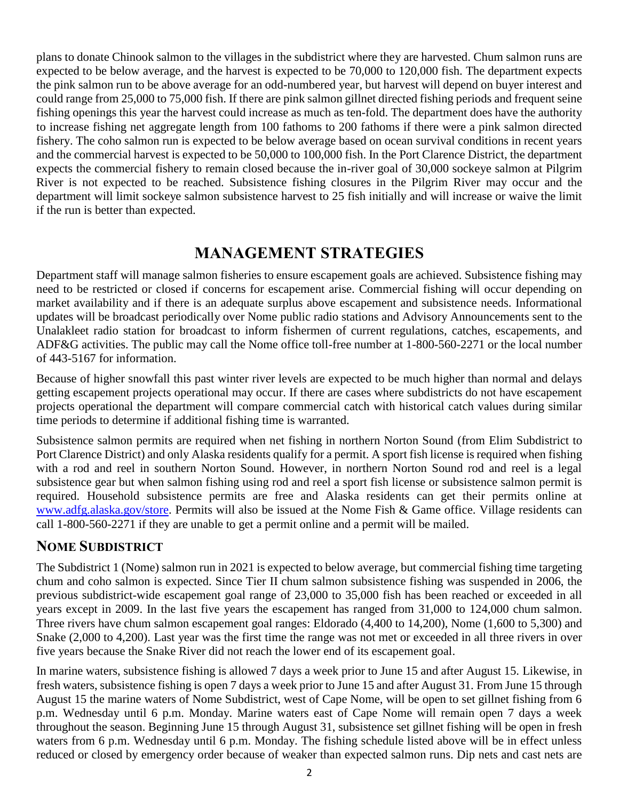plans to donate Chinook salmon to the villages in the subdistrict where they are harvested. Chum salmon runs are expected to be below average, and the harvest is expected to be 70,000 to 120,000 fish. The department expects the pink salmon run to be above average for an odd-numbered year, but harvest will depend on buyer interest and could range from 25,000 to 75,000 fish. If there are pink salmon gillnet directed fishing periods and frequent seine fishing openings this year the harvest could increase as much as ten-fold. The department does have the authority to increase fishing net aggregate length from 100 fathoms to 200 fathoms if there were a pink salmon directed fishery. The coho salmon run is expected to be below average based on ocean survival conditions in recent years and the commercial harvest is expected to be 50,000 to 100,000 fish. In the Port Clarence District, the department expects the commercial fishery to remain closed because the in-river goal of 30,000 sockeye salmon at Pilgrim River is not expected to be reached. Subsistence fishing closures in the Pilgrim River may occur and the department will limit sockeye salmon subsistence harvest to 25 fish initially and will increase or waive the limit if the run is better than expected.

# **MANAGEMENT STRATEGIES**

Department staff will manage salmon fisheries to ensure escapement goals are achieved. Subsistence fishing may need to be restricted or closed if concerns for escapement arise. Commercial fishing will occur depending on market availability and if there is an adequate surplus above escapement and subsistence needs. Informational updates will be broadcast periodically over Nome public radio stations and Advisory Announcements sent to the Unalakleet radio station for broadcast to inform fishermen of current regulations, catches, escapements, and ADF&G activities. The public may call the Nome office toll-free number at 1-800-560-2271 or the local number of 443-5167 for information.

Because of higher snowfall this past winter river levels are expected to be much higher than normal and delays getting escapement projects operational may occur. If there are cases where subdistricts do not have escapement projects operational the department will compare commercial catch with historical catch values during similar time periods to determine if additional fishing time is warranted.

Subsistence salmon permits are required when net fishing in northern Norton Sound (from Elim Subdistrict to Port Clarence District) and only Alaska residents qualify for a permit. A sport fish license is required when fishing with a rod and reel in southern Norton Sound. However, in northern Norton Sound rod and reel is a legal subsistence gear but when salmon fishing using rod and reel a sport fish license or subsistence salmon permit is required. Household subsistence permits are free and Alaska residents can get their permits online at [www.adfg.alaska.gov/store.](http://www.adfg.alaska.gov/store) Permits will also be issued at the Nome Fish & Game office. Village residents can call 1-800-560-2271 if they are unable to get a permit online and a permit will be mailed.

## **NOME SUBDISTRICT**

The Subdistrict 1 (Nome) salmon run in 2021 is expected to below average, but commercial fishing time targeting chum and coho salmon is expected. Since Tier II chum salmon subsistence fishing was suspended in 2006, the previous subdistrict-wide escapement goal range of 23,000 to 35,000 fish has been reached or exceeded in all years except in 2009. In the last five years the escapement has ranged from 31,000 to 124,000 chum salmon. Three rivers have chum salmon escapement goal ranges: Eldorado (4,400 to 14,200), Nome (1,600 to 5,300) and Snake (2,000 to 4,200). Last year was the first time the range was not met or exceeded in all three rivers in over five years because the Snake River did not reach the lower end of its escapement goal.

In marine waters, subsistence fishing is allowed 7 days a week prior to June 15 and after August 15. Likewise, in fresh waters, subsistence fishing is open 7 days a week prior to June 15 and after August 31. From June 15 through August 15 the marine waters of Nome Subdistrict, west of Cape Nome, will be open to set gillnet fishing from 6 p.m. Wednesday until 6 p.m. Monday. Marine waters east of Cape Nome will remain open 7 days a week throughout the season. Beginning June 15 through August 31, subsistence set gillnet fishing will be open in fresh waters from 6 p.m. Wednesday until 6 p.m. Monday. The fishing schedule listed above will be in effect unless reduced or closed by emergency order because of weaker than expected salmon runs. Dip nets and cast nets are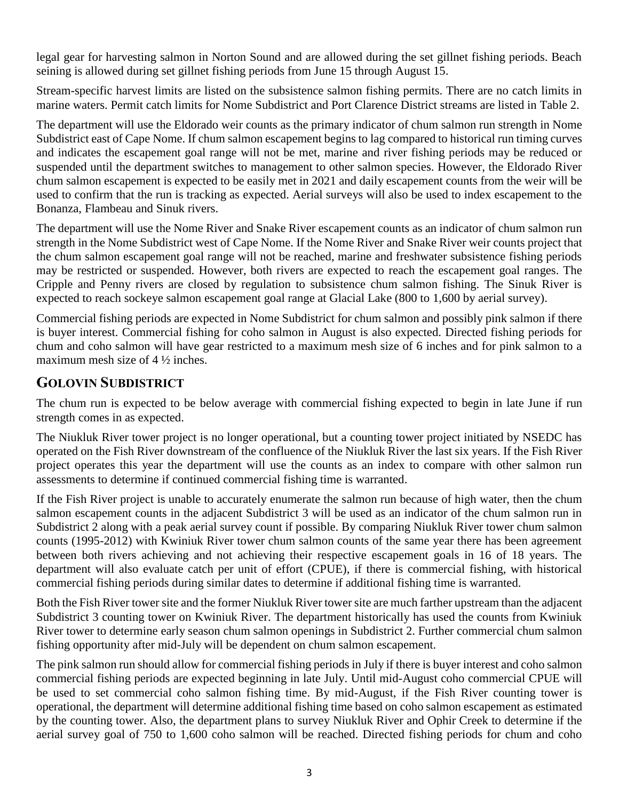legal gear for harvesting salmon in Norton Sound and are allowed during the set gillnet fishing periods. Beach seining is allowed during set gillnet fishing periods from June 15 through August 15.

Stream-specific harvest limits are listed on the subsistence salmon fishing permits. There are no catch limits in marine waters. Permit catch limits for Nome Subdistrict and Port Clarence District streams are listed in Table 2.

The department will use the Eldorado weir counts as the primary indicator of chum salmon run strength in Nome Subdistrict east of Cape Nome. If chum salmon escapement begins to lag compared to historical run timing curves and indicates the escapement goal range will not be met, marine and river fishing periods may be reduced or suspended until the department switches to management to other salmon species. However, the Eldorado River chum salmon escapement is expected to be easily met in 2021 and daily escapement counts from the weir will be used to confirm that the run is tracking as expected. Aerial surveys will also be used to index escapement to the Bonanza, Flambeau and Sinuk rivers.

The department will use the Nome River and Snake River escapement counts as an indicator of chum salmon run strength in the Nome Subdistrict west of Cape Nome. If the Nome River and Snake River weir counts project that the chum salmon escapement goal range will not be reached, marine and freshwater subsistence fishing periods may be restricted or suspended. However, both rivers are expected to reach the escapement goal ranges. The Cripple and Penny rivers are closed by regulation to subsistence chum salmon fishing. The Sinuk River is expected to reach sockeye salmon escapement goal range at Glacial Lake (800 to 1,600 by aerial survey).

Commercial fishing periods are expected in Nome Subdistrict for chum salmon and possibly pink salmon if there is buyer interest. Commercial fishing for coho salmon in August is also expected. Directed fishing periods for chum and coho salmon will have gear restricted to a maximum mesh size of 6 inches and for pink salmon to a maximum mesh size of 4 ½ inches.

### **GOLOVIN SUBDISTRICT**

The chum run is expected to be below average with commercial fishing expected to begin in late June if run strength comes in as expected.

The Niukluk River tower project is no longer operational, but a counting tower project initiated by NSEDC has operated on the Fish River downstream of the confluence of the Niukluk River the last six years. If the Fish River project operates this year the department will use the counts as an index to compare with other salmon run assessments to determine if continued commercial fishing time is warranted.

If the Fish River project is unable to accurately enumerate the salmon run because of high water, then the chum salmon escapement counts in the adjacent Subdistrict 3 will be used as an indicator of the chum salmon run in Subdistrict 2 along with a peak aerial survey count if possible. By comparing Niukluk River tower chum salmon counts (1995-2012) with Kwiniuk River tower chum salmon counts of the same year there has been agreement between both rivers achieving and not achieving their respective escapement goals in 16 of 18 years. The department will also evaluate catch per unit of effort (CPUE), if there is commercial fishing, with historical commercial fishing periods during similar dates to determine if additional fishing time is warranted.

Both the Fish River tower site and the former Niukluk River tower site are much farther upstream than the adjacent Subdistrict 3 counting tower on Kwiniuk River. The department historically has used the counts from Kwiniuk River tower to determine early season chum salmon openings in Subdistrict 2. Further commercial chum salmon fishing opportunity after mid-July will be dependent on chum salmon escapement.

The pink salmon run should allow for commercial fishing periods in July if there is buyer interest and coho salmon commercial fishing periods are expected beginning in late July. Until mid-August coho commercial CPUE will be used to set commercial coho salmon fishing time. By mid-August, if the Fish River counting tower is operational, the department will determine additional fishing time based on coho salmon escapement as estimated by the counting tower. Also, the department plans to survey Niukluk River and Ophir Creek to determine if the aerial survey goal of 750 to 1,600 coho salmon will be reached. Directed fishing periods for chum and coho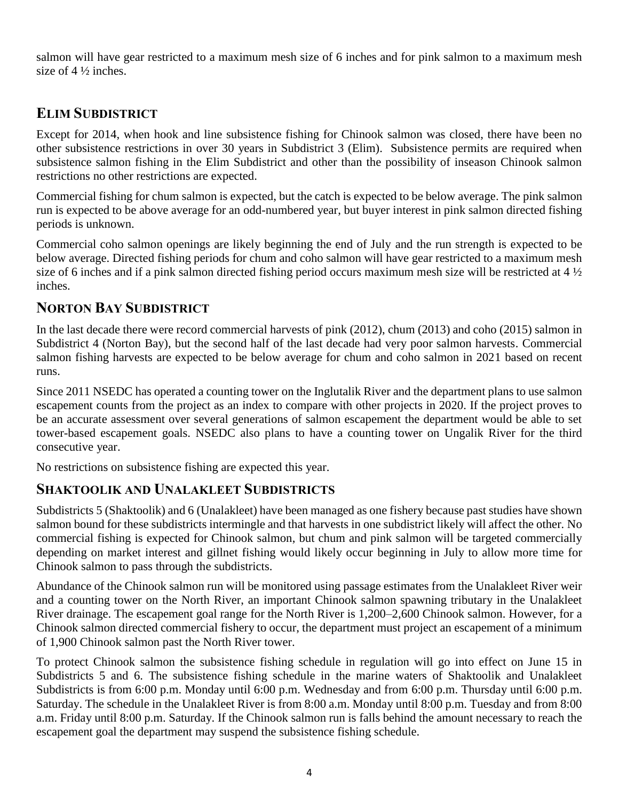salmon will have gear restricted to a maximum mesh size of 6 inches and for pink salmon to a maximum mesh size of  $4\frac{1}{2}$  inches.

## **ELIM SUBDISTRICT**

Except for 2014, when hook and line subsistence fishing for Chinook salmon was closed, there have been no other subsistence restrictions in over 30 years in Subdistrict 3 (Elim). Subsistence permits are required when subsistence salmon fishing in the Elim Subdistrict and other than the possibility of inseason Chinook salmon restrictions no other restrictions are expected.

Commercial fishing for chum salmon is expected, but the catch is expected to be below average. The pink salmon run is expected to be above average for an odd-numbered year, but buyer interest in pink salmon directed fishing periods is unknown.

Commercial coho salmon openings are likely beginning the end of July and the run strength is expected to be below average. Directed fishing periods for chum and coho salmon will have gear restricted to a maximum mesh size of 6 inches and if a pink salmon directed fishing period occurs maximum mesh size will be restricted at 4 ½ inches.

## **NORTON BAY SUBDISTRICT**

In the last decade there were record commercial harvests of pink (2012), chum (2013) and coho (2015) salmon in Subdistrict 4 (Norton Bay), but the second half of the last decade had very poor salmon harvests. Commercial salmon fishing harvests are expected to be below average for chum and coho salmon in 2021 based on recent runs.

Since 2011 NSEDC has operated a counting tower on the Inglutalik River and the department plans to use salmon escapement counts from the project as an index to compare with other projects in 2020. If the project proves to be an accurate assessment over several generations of salmon escapement the department would be able to set tower-based escapement goals. NSEDC also plans to have a counting tower on Ungalik River for the third consecutive year.

No restrictions on subsistence fishing are expected this year.

### **SHAKTOOLIK AND UNALAKLEET SUBDISTRICTS**

Subdistricts 5 (Shaktoolik) and 6 (Unalakleet) have been managed as one fishery because past studies have shown salmon bound for these subdistricts intermingle and that harvests in one subdistrict likely will affect the other. No commercial fishing is expected for Chinook salmon, but chum and pink salmon will be targeted commercially depending on market interest and gillnet fishing would likely occur beginning in July to allow more time for Chinook salmon to pass through the subdistricts.

Abundance of the Chinook salmon run will be monitored using passage estimates from the Unalakleet River weir and a counting tower on the North River, an important Chinook salmon spawning tributary in the Unalakleet River drainage. The escapement goal range for the North River is 1,200–2,600 Chinook salmon. However, for a Chinook salmon directed commercial fishery to occur, the department must project an escapement of a minimum of 1,900 Chinook salmon past the North River tower.

To protect Chinook salmon the subsistence fishing schedule in regulation will go into effect on June 15 in Subdistricts 5 and 6. The subsistence fishing schedule in the marine waters of Shaktoolik and Unalakleet Subdistricts is from 6:00 p.m. Monday until 6:00 p.m. Wednesday and from 6:00 p.m. Thursday until 6:00 p.m. Saturday. The schedule in the Unalakleet River is from 8:00 a.m. Monday until 8:00 p.m. Tuesday and from 8:00 a.m. Friday until 8:00 p.m. Saturday. If the Chinook salmon run is falls behind the amount necessary to reach the escapement goal the department may suspend the subsistence fishing schedule.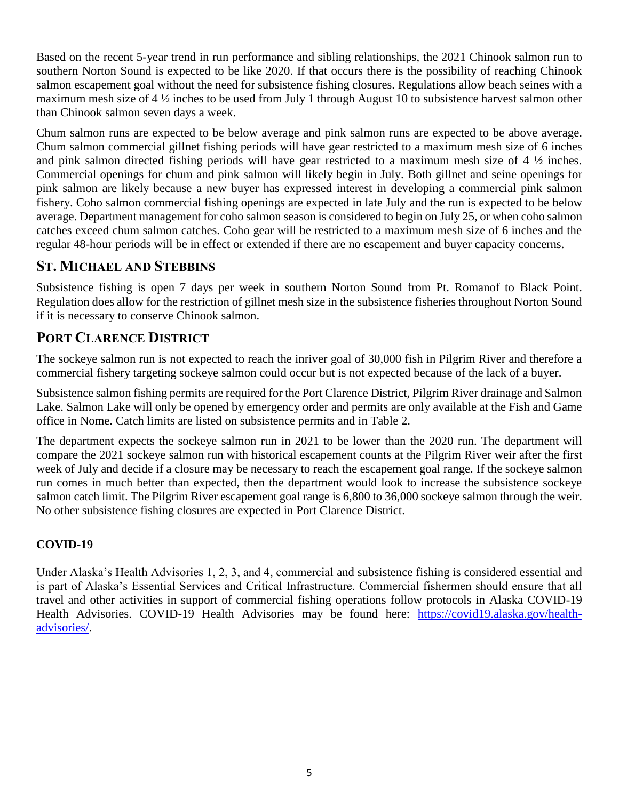Based on the recent 5-year trend in run performance and sibling relationships, the 2021 Chinook salmon run to southern Norton Sound is expected to be like 2020. If that occurs there is the possibility of reaching Chinook salmon escapement goal without the need for subsistence fishing closures. Regulations allow beach seines with a maximum mesh size of 4 ½ inches to be used from July 1 through August 10 to subsistence harvest salmon other than Chinook salmon seven days a week.

Chum salmon runs are expected to be below average and pink salmon runs are expected to be above average. Chum salmon commercial gillnet fishing periods will have gear restricted to a maximum mesh size of 6 inches and pink salmon directed fishing periods will have gear restricted to a maximum mesh size of 4 ½ inches. Commercial openings for chum and pink salmon will likely begin in July. Both gillnet and seine openings for pink salmon are likely because a new buyer has expressed interest in developing a commercial pink salmon fishery. Coho salmon commercial fishing openings are expected in late July and the run is expected to be below average. Department management for coho salmon season is considered to begin on July 25, or when coho salmon catches exceed chum salmon catches. Coho gear will be restricted to a maximum mesh size of 6 inches and the regular 48-hour periods will be in effect or extended if there are no escapement and buyer capacity concerns.

### **ST. MICHAEL AND STEBBINS**

Subsistence fishing is open 7 days per week in southern Norton Sound from Pt. Romanof to Black Point. Regulation does allow for the restriction of gillnet mesh size in the subsistence fisheries throughout Norton Sound if it is necessary to conserve Chinook salmon.

# **PORT CLARENCE DISTRICT**

The sockeye salmon run is not expected to reach the inriver goal of 30,000 fish in Pilgrim River and therefore a commercial fishery targeting sockeye salmon could occur but is not expected because of the lack of a buyer.

Subsistence salmon fishing permits are required for the Port Clarence District, Pilgrim River drainage and Salmon Lake. Salmon Lake will only be opened by emergency order and permits are only available at the Fish and Game office in Nome. Catch limits are listed on subsistence permits and in Table 2.

The department expects the sockeye salmon run in 2021 to be lower than the 2020 run. The department will compare the 2021 sockeye salmon run with historical escapement counts at the Pilgrim River weir after the first week of July and decide if a closure may be necessary to reach the escapement goal range. If the sockeye salmon run comes in much better than expected, then the department would look to increase the subsistence sockeye salmon catch limit. The Pilgrim River escapement goal range is 6,800 to 36,000 sockeye salmon through the weir. No other subsistence fishing closures are expected in Port Clarence District.

### **COVID-19**

Under Alaska's Health Advisories 1, 2, 3, and 4, commercial and subsistence fishing is considered essential and is part of Alaska's Essential Services and Critical Infrastructure. Commercial fishermen should ensure that all travel and other activities in support of commercial fishing operations follow protocols in Alaska COVID-19 Health Advisories. COVID-19 Health Advisories may be found here: [https://covid19.alaska.gov/health](https://covid19.alaska.gov/health-advisories/)[advisories/.](https://covid19.alaska.gov/health-advisories/)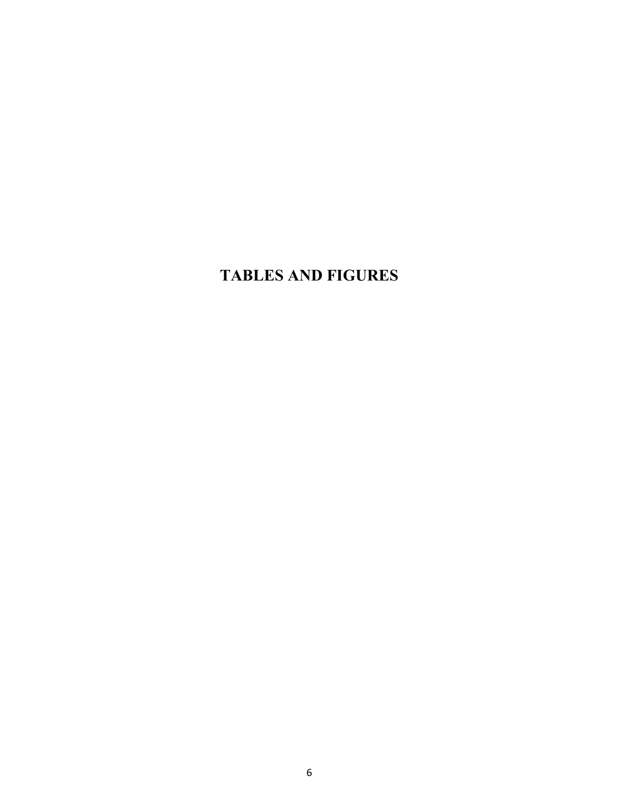# **TABLES AND FIGURES**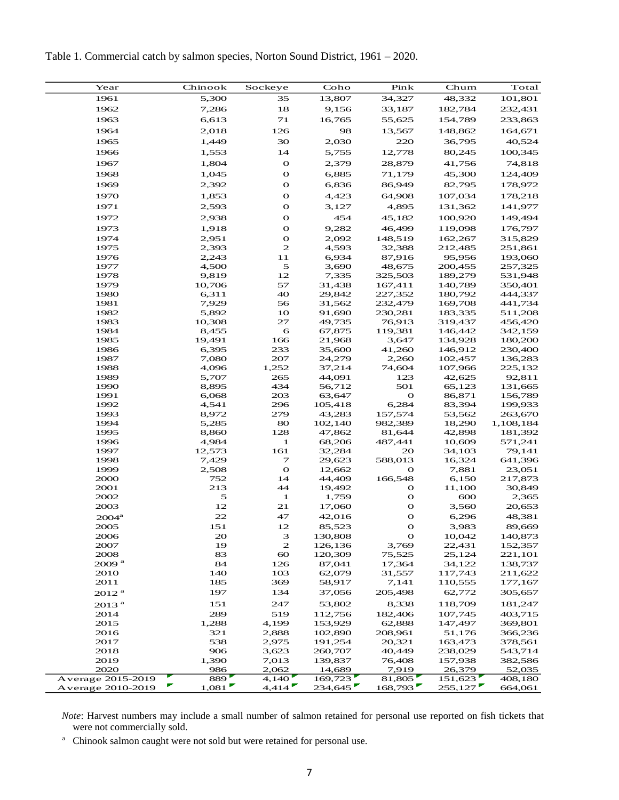Table 1. Commercial catch by salmon species, Norton Sound District, 1961 – 2020.

| Year<br>Pink<br>Chum<br>Total<br>Chinook<br>Sockeye<br>Coho<br>48,332<br>101,801<br>1961<br>5,300<br>35<br>13,807<br>34,327<br>1962<br>18<br>7,286<br>9,156<br>33,187<br>182,784<br>232,431<br>1963<br>71<br>16,765<br>6,613<br>55,625<br>154,789<br>233,863<br>1964<br>126<br>98<br>2,018<br>13,567<br>148,862<br>164,671<br>1965<br>30<br>36,795<br>40,524<br>1,449<br>2,030<br>220<br>14<br>5,755<br>1966<br>1,553<br>12,778<br>80,245<br>100,345<br>$\mathbf{o}$<br>1967<br>1,804<br>2,379<br>28,879<br>41,756<br>74,818<br>1968<br>$\mathbf{o}$<br>1,045<br>6,885<br>71,179<br>45,300<br>124,409<br>1969<br>$\mathbf{o}$<br>86,949<br>82,795<br>2,392<br>6,836<br>178,972<br>1970<br>$\mathbf{o}$<br>107,034<br>1,853<br>4,423<br>64,908<br>178,218<br>$\mathbf{o}$<br>1971<br>2,593<br>3,127<br>4,895<br>131,362<br>141,977<br>$\mathbf{o}$<br>454<br>1972<br>2,938<br>45,182<br>100,920<br>149,494<br>$\mathbf{o}$<br>9,282<br>46,499<br>1973<br>1,918<br>119,098<br>176,797<br>1974<br>$\mathbf{o}$<br>2,092<br>148,519<br>2,951<br>162,267<br>315,829<br>$\mathbf{z}$<br>4,593<br>1975<br>2,393<br>32,388<br>212,485<br>251,861<br>11<br>1976<br>2,243<br>6,934<br>87,916<br>95,956<br>193,060<br>$\mathfrak s$<br>1977<br>4,500<br>3,690<br>200,455<br>257,325<br>48,675<br>12<br>1978<br>9,819<br>7,335<br>325,503<br>189,279<br>531,948<br>57<br>1979<br>10,706<br>31,438<br>167,411<br>140,789<br>350,401<br>40<br>1980<br>6,311<br>29,842<br>227,352<br>180,792<br>444,337<br>1981<br>7,929<br>56<br>31,562<br>232,479<br>169,708<br>441,734<br>1982<br>5,892<br>10<br>91,690<br>230,281<br>183,335<br>511,208<br>27<br>1983<br>10,308<br>49,735<br>76,913<br>319,437<br>456,420<br>6<br>1984<br>8,455<br>67,875<br>119,381<br>146,442<br>342,159<br>166<br>1985<br>19,491<br>180,200<br>21,968<br>3,647<br>134,928<br>1986<br>6,395<br>233<br>35,600<br>41,260<br>146,912<br>230,400<br>1987<br>7,080<br>207<br>24,279<br>2,260<br>102,457<br>136,283<br>1988<br>4,096<br>1,252<br>37,214<br>74,604<br>107,966<br>225,132<br>1989<br>5,707<br>265<br>44,091<br>123<br>42,625<br>92,811<br>1990<br>434<br>8,895<br>56,712<br>501<br>65,123<br>131,665<br>1991<br>203<br>63,647<br>O<br>86,871<br>156,789<br>6,068<br>296<br>1992<br>4,541<br>105,418<br>6,284<br>83,394<br>199,933<br>279<br>1993<br>8,972<br>43,283<br>157,574<br>53,562<br>263,670<br>1994<br>5,285<br>80<br>102,140<br>982,389<br>18,290<br>1,108,184<br>1995<br>128<br>8,860<br>47,862<br>81,644<br>42,898<br>181,392<br>1996<br>4,984<br>1<br>68,206<br>487,441<br>10,609<br>571,241<br>161<br>79,141<br>1997<br>12,573<br>32,284<br>20<br>34,103<br>641,396<br>1998<br>7,429<br>7<br>29,623<br>588,013<br>16,324<br>$\mathbf{o}$<br>1999<br>2,508<br>12,662<br>$\mathbf{o}$<br>7,881<br>23,051<br>14<br>166,548<br>2000<br>752<br>44,409<br>6,150<br>217,873<br>213<br>44<br>2001<br>19,492<br>O<br>11,100<br>30,849<br>5<br>$\mathbf{o}$<br>2002<br>$\mathbf{1}$<br>1,759<br>600<br>2,365<br>12<br>21<br>$\mathbf{o}$<br>2003<br>17,060<br>3,560<br>20,653<br>22<br>$\mathbf{o}$<br>47<br>42,016<br>6,296<br>48,381<br>2004 <sup>a</sup><br>$\mathbf O$<br>2005<br>151<br>12<br>89,669<br>85,523<br>3,983<br>$\ensuremath{\mathsf{3}}$<br>10,042<br>2006<br>20<br>130,808<br>$\mathbf{o}$<br>140,873<br>19<br>$\mathbf{z}$<br>2007<br>126,136<br>3,769<br>22,431<br>152,357<br>120,309<br>2008<br>83<br>60<br>75,525<br>25,124<br>221,101<br>2009 <sup>a</sup><br>84<br>126<br>87,041<br>34,122<br>17,364<br>138,737<br>140<br>2010<br>103<br>62,079<br>31,557<br>117,743<br>211,622<br>2011<br>185<br>369<br>58,917<br>110,555<br>7,141<br>177,167<br>197<br>134<br>37,056<br>205,498<br>62,772<br>305,657<br>2012 <sup>a</sup><br>151<br>247<br>53,802<br>8,338<br>118,709<br>181,247<br>2013 <sup>a</sup><br>519<br>107,745<br>2014<br>289<br>112,756<br>182,406<br>403,715<br>4,199<br>2015<br>1,288<br>153,929<br>62,888<br>147,497<br>369,801<br>2016<br>321<br>2,888<br>102,890<br>208,961<br>51,176<br>366,236<br>2017<br>538<br>2,975<br>191,254<br>163,473<br>378,561<br>20,321<br>2018<br>906<br>260,707<br>40,449<br>238,029<br>543,714<br>3,623<br>2019<br>1,390<br>7,013<br>139,837<br>76,408<br>157,938<br>382,586<br>2020<br>986<br>2,062<br>14,689<br>7,919<br>26,379<br>52,035<br>889 <sup>'</sup><br>4,140'<br>169,723<br>81,805<br>151,623<br>Average 2015-2019<br>408,180<br>4,414<br>234,645<br>168,793<br>255,127<br>1,081<br>Average 2010-2019<br>664,061 |  |  |  |  |
|------------------------------------------------------------------------------------------------------------------------------------------------------------------------------------------------------------------------------------------------------------------------------------------------------------------------------------------------------------------------------------------------------------------------------------------------------------------------------------------------------------------------------------------------------------------------------------------------------------------------------------------------------------------------------------------------------------------------------------------------------------------------------------------------------------------------------------------------------------------------------------------------------------------------------------------------------------------------------------------------------------------------------------------------------------------------------------------------------------------------------------------------------------------------------------------------------------------------------------------------------------------------------------------------------------------------------------------------------------------------------------------------------------------------------------------------------------------------------------------------------------------------------------------------------------------------------------------------------------------------------------------------------------------------------------------------------------------------------------------------------------------------------------------------------------------------------------------------------------------------------------------------------------------------------------------------------------------------------------------------------------------------------------------------------------------------------------------------------------------------------------------------------------------------------------------------------------------------------------------------------------------------------------------------------------------------------------------------------------------------------------------------------------------------------------------------------------------------------------------------------------------------------------------------------------------------------------------------------------------------------------------------------------------------------------------------------------------------------------------------------------------------------------------------------------------------------------------------------------------------------------------------------------------------------------------------------------------------------------------------------------------------------------------------------------------------------------------------------------------------------------------------------------------------------------------------------------------------------------------------------------------------------------------------------------------------------------------------------------------------------------------------------------------------------------------------------------------------------------------------------------------------------------------------------------------------------------------------------------------------------------------------------------------------------------------------------------------------------------------------------------------------------------------------------------------------------------------------------------------------------------------------------------------------------------------------------------------------------------------------------------------------------------------------------------------------------------------------------------------------------------------------------------------------------------------------------------------------------------------------------------------------------------------------------------------------------------------------------------------------------------------------------------------------------------------------------------------------|--|--|--|--|
|                                                                                                                                                                                                                                                                                                                                                                                                                                                                                                                                                                                                                                                                                                                                                                                                                                                                                                                                                                                                                                                                                                                                                                                                                                                                                                                                                                                                                                                                                                                                                                                                                                                                                                                                                                                                                                                                                                                                                                                                                                                                                                                                                                                                                                                                                                                                                                                                                                                                                                                                                                                                                                                                                                                                                                                                                                                                                                                                                                                                                                                                                                                                                                                                                                                                                                                                                                                                                                                                                                                                                                                                                                                                                                                                                                                                                                                                                                                                                                                                                                                                                                                                                                                                                                                                                                                                                                                                                                                                        |  |  |  |  |
|                                                                                                                                                                                                                                                                                                                                                                                                                                                                                                                                                                                                                                                                                                                                                                                                                                                                                                                                                                                                                                                                                                                                                                                                                                                                                                                                                                                                                                                                                                                                                                                                                                                                                                                                                                                                                                                                                                                                                                                                                                                                                                                                                                                                                                                                                                                                                                                                                                                                                                                                                                                                                                                                                                                                                                                                                                                                                                                                                                                                                                                                                                                                                                                                                                                                                                                                                                                                                                                                                                                                                                                                                                                                                                                                                                                                                                                                                                                                                                                                                                                                                                                                                                                                                                                                                                                                                                                                                                                                        |  |  |  |  |
|                                                                                                                                                                                                                                                                                                                                                                                                                                                                                                                                                                                                                                                                                                                                                                                                                                                                                                                                                                                                                                                                                                                                                                                                                                                                                                                                                                                                                                                                                                                                                                                                                                                                                                                                                                                                                                                                                                                                                                                                                                                                                                                                                                                                                                                                                                                                                                                                                                                                                                                                                                                                                                                                                                                                                                                                                                                                                                                                                                                                                                                                                                                                                                                                                                                                                                                                                                                                                                                                                                                                                                                                                                                                                                                                                                                                                                                                                                                                                                                                                                                                                                                                                                                                                                                                                                                                                                                                                                                                        |  |  |  |  |
|                                                                                                                                                                                                                                                                                                                                                                                                                                                                                                                                                                                                                                                                                                                                                                                                                                                                                                                                                                                                                                                                                                                                                                                                                                                                                                                                                                                                                                                                                                                                                                                                                                                                                                                                                                                                                                                                                                                                                                                                                                                                                                                                                                                                                                                                                                                                                                                                                                                                                                                                                                                                                                                                                                                                                                                                                                                                                                                                                                                                                                                                                                                                                                                                                                                                                                                                                                                                                                                                                                                                                                                                                                                                                                                                                                                                                                                                                                                                                                                                                                                                                                                                                                                                                                                                                                                                                                                                                                                                        |  |  |  |  |
|                                                                                                                                                                                                                                                                                                                                                                                                                                                                                                                                                                                                                                                                                                                                                                                                                                                                                                                                                                                                                                                                                                                                                                                                                                                                                                                                                                                                                                                                                                                                                                                                                                                                                                                                                                                                                                                                                                                                                                                                                                                                                                                                                                                                                                                                                                                                                                                                                                                                                                                                                                                                                                                                                                                                                                                                                                                                                                                                                                                                                                                                                                                                                                                                                                                                                                                                                                                                                                                                                                                                                                                                                                                                                                                                                                                                                                                                                                                                                                                                                                                                                                                                                                                                                                                                                                                                                                                                                                                                        |  |  |  |  |
|                                                                                                                                                                                                                                                                                                                                                                                                                                                                                                                                                                                                                                                                                                                                                                                                                                                                                                                                                                                                                                                                                                                                                                                                                                                                                                                                                                                                                                                                                                                                                                                                                                                                                                                                                                                                                                                                                                                                                                                                                                                                                                                                                                                                                                                                                                                                                                                                                                                                                                                                                                                                                                                                                                                                                                                                                                                                                                                                                                                                                                                                                                                                                                                                                                                                                                                                                                                                                                                                                                                                                                                                                                                                                                                                                                                                                                                                                                                                                                                                                                                                                                                                                                                                                                                                                                                                                                                                                                                                        |  |  |  |  |
|                                                                                                                                                                                                                                                                                                                                                                                                                                                                                                                                                                                                                                                                                                                                                                                                                                                                                                                                                                                                                                                                                                                                                                                                                                                                                                                                                                                                                                                                                                                                                                                                                                                                                                                                                                                                                                                                                                                                                                                                                                                                                                                                                                                                                                                                                                                                                                                                                                                                                                                                                                                                                                                                                                                                                                                                                                                                                                                                                                                                                                                                                                                                                                                                                                                                                                                                                                                                                                                                                                                                                                                                                                                                                                                                                                                                                                                                                                                                                                                                                                                                                                                                                                                                                                                                                                                                                                                                                                                                        |  |  |  |  |
|                                                                                                                                                                                                                                                                                                                                                                                                                                                                                                                                                                                                                                                                                                                                                                                                                                                                                                                                                                                                                                                                                                                                                                                                                                                                                                                                                                                                                                                                                                                                                                                                                                                                                                                                                                                                                                                                                                                                                                                                                                                                                                                                                                                                                                                                                                                                                                                                                                                                                                                                                                                                                                                                                                                                                                                                                                                                                                                                                                                                                                                                                                                                                                                                                                                                                                                                                                                                                                                                                                                                                                                                                                                                                                                                                                                                                                                                                                                                                                                                                                                                                                                                                                                                                                                                                                                                                                                                                                                                        |  |  |  |  |
|                                                                                                                                                                                                                                                                                                                                                                                                                                                                                                                                                                                                                                                                                                                                                                                                                                                                                                                                                                                                                                                                                                                                                                                                                                                                                                                                                                                                                                                                                                                                                                                                                                                                                                                                                                                                                                                                                                                                                                                                                                                                                                                                                                                                                                                                                                                                                                                                                                                                                                                                                                                                                                                                                                                                                                                                                                                                                                                                                                                                                                                                                                                                                                                                                                                                                                                                                                                                                                                                                                                                                                                                                                                                                                                                                                                                                                                                                                                                                                                                                                                                                                                                                                                                                                                                                                                                                                                                                                                                        |  |  |  |  |
|                                                                                                                                                                                                                                                                                                                                                                                                                                                                                                                                                                                                                                                                                                                                                                                                                                                                                                                                                                                                                                                                                                                                                                                                                                                                                                                                                                                                                                                                                                                                                                                                                                                                                                                                                                                                                                                                                                                                                                                                                                                                                                                                                                                                                                                                                                                                                                                                                                                                                                                                                                                                                                                                                                                                                                                                                                                                                                                                                                                                                                                                                                                                                                                                                                                                                                                                                                                                                                                                                                                                                                                                                                                                                                                                                                                                                                                                                                                                                                                                                                                                                                                                                                                                                                                                                                                                                                                                                                                                        |  |  |  |  |
|                                                                                                                                                                                                                                                                                                                                                                                                                                                                                                                                                                                                                                                                                                                                                                                                                                                                                                                                                                                                                                                                                                                                                                                                                                                                                                                                                                                                                                                                                                                                                                                                                                                                                                                                                                                                                                                                                                                                                                                                                                                                                                                                                                                                                                                                                                                                                                                                                                                                                                                                                                                                                                                                                                                                                                                                                                                                                                                                                                                                                                                                                                                                                                                                                                                                                                                                                                                                                                                                                                                                                                                                                                                                                                                                                                                                                                                                                                                                                                                                                                                                                                                                                                                                                                                                                                                                                                                                                                                                        |  |  |  |  |
|                                                                                                                                                                                                                                                                                                                                                                                                                                                                                                                                                                                                                                                                                                                                                                                                                                                                                                                                                                                                                                                                                                                                                                                                                                                                                                                                                                                                                                                                                                                                                                                                                                                                                                                                                                                                                                                                                                                                                                                                                                                                                                                                                                                                                                                                                                                                                                                                                                                                                                                                                                                                                                                                                                                                                                                                                                                                                                                                                                                                                                                                                                                                                                                                                                                                                                                                                                                                                                                                                                                                                                                                                                                                                                                                                                                                                                                                                                                                                                                                                                                                                                                                                                                                                                                                                                                                                                                                                                                                        |  |  |  |  |
|                                                                                                                                                                                                                                                                                                                                                                                                                                                                                                                                                                                                                                                                                                                                                                                                                                                                                                                                                                                                                                                                                                                                                                                                                                                                                                                                                                                                                                                                                                                                                                                                                                                                                                                                                                                                                                                                                                                                                                                                                                                                                                                                                                                                                                                                                                                                                                                                                                                                                                                                                                                                                                                                                                                                                                                                                                                                                                                                                                                                                                                                                                                                                                                                                                                                                                                                                                                                                                                                                                                                                                                                                                                                                                                                                                                                                                                                                                                                                                                                                                                                                                                                                                                                                                                                                                                                                                                                                                                                        |  |  |  |  |
|                                                                                                                                                                                                                                                                                                                                                                                                                                                                                                                                                                                                                                                                                                                                                                                                                                                                                                                                                                                                                                                                                                                                                                                                                                                                                                                                                                                                                                                                                                                                                                                                                                                                                                                                                                                                                                                                                                                                                                                                                                                                                                                                                                                                                                                                                                                                                                                                                                                                                                                                                                                                                                                                                                                                                                                                                                                                                                                                                                                                                                                                                                                                                                                                                                                                                                                                                                                                                                                                                                                                                                                                                                                                                                                                                                                                                                                                                                                                                                                                                                                                                                                                                                                                                                                                                                                                                                                                                                                                        |  |  |  |  |
|                                                                                                                                                                                                                                                                                                                                                                                                                                                                                                                                                                                                                                                                                                                                                                                                                                                                                                                                                                                                                                                                                                                                                                                                                                                                                                                                                                                                                                                                                                                                                                                                                                                                                                                                                                                                                                                                                                                                                                                                                                                                                                                                                                                                                                                                                                                                                                                                                                                                                                                                                                                                                                                                                                                                                                                                                                                                                                                                                                                                                                                                                                                                                                                                                                                                                                                                                                                                                                                                                                                                                                                                                                                                                                                                                                                                                                                                                                                                                                                                                                                                                                                                                                                                                                                                                                                                                                                                                                                                        |  |  |  |  |
|                                                                                                                                                                                                                                                                                                                                                                                                                                                                                                                                                                                                                                                                                                                                                                                                                                                                                                                                                                                                                                                                                                                                                                                                                                                                                                                                                                                                                                                                                                                                                                                                                                                                                                                                                                                                                                                                                                                                                                                                                                                                                                                                                                                                                                                                                                                                                                                                                                                                                                                                                                                                                                                                                                                                                                                                                                                                                                                                                                                                                                                                                                                                                                                                                                                                                                                                                                                                                                                                                                                                                                                                                                                                                                                                                                                                                                                                                                                                                                                                                                                                                                                                                                                                                                                                                                                                                                                                                                                                        |  |  |  |  |
|                                                                                                                                                                                                                                                                                                                                                                                                                                                                                                                                                                                                                                                                                                                                                                                                                                                                                                                                                                                                                                                                                                                                                                                                                                                                                                                                                                                                                                                                                                                                                                                                                                                                                                                                                                                                                                                                                                                                                                                                                                                                                                                                                                                                                                                                                                                                                                                                                                                                                                                                                                                                                                                                                                                                                                                                                                                                                                                                                                                                                                                                                                                                                                                                                                                                                                                                                                                                                                                                                                                                                                                                                                                                                                                                                                                                                                                                                                                                                                                                                                                                                                                                                                                                                                                                                                                                                                                                                                                                        |  |  |  |  |
|                                                                                                                                                                                                                                                                                                                                                                                                                                                                                                                                                                                                                                                                                                                                                                                                                                                                                                                                                                                                                                                                                                                                                                                                                                                                                                                                                                                                                                                                                                                                                                                                                                                                                                                                                                                                                                                                                                                                                                                                                                                                                                                                                                                                                                                                                                                                                                                                                                                                                                                                                                                                                                                                                                                                                                                                                                                                                                                                                                                                                                                                                                                                                                                                                                                                                                                                                                                                                                                                                                                                                                                                                                                                                                                                                                                                                                                                                                                                                                                                                                                                                                                                                                                                                                                                                                                                                                                                                                                                        |  |  |  |  |
|                                                                                                                                                                                                                                                                                                                                                                                                                                                                                                                                                                                                                                                                                                                                                                                                                                                                                                                                                                                                                                                                                                                                                                                                                                                                                                                                                                                                                                                                                                                                                                                                                                                                                                                                                                                                                                                                                                                                                                                                                                                                                                                                                                                                                                                                                                                                                                                                                                                                                                                                                                                                                                                                                                                                                                                                                                                                                                                                                                                                                                                                                                                                                                                                                                                                                                                                                                                                                                                                                                                                                                                                                                                                                                                                                                                                                                                                                                                                                                                                                                                                                                                                                                                                                                                                                                                                                                                                                                                                        |  |  |  |  |
|                                                                                                                                                                                                                                                                                                                                                                                                                                                                                                                                                                                                                                                                                                                                                                                                                                                                                                                                                                                                                                                                                                                                                                                                                                                                                                                                                                                                                                                                                                                                                                                                                                                                                                                                                                                                                                                                                                                                                                                                                                                                                                                                                                                                                                                                                                                                                                                                                                                                                                                                                                                                                                                                                                                                                                                                                                                                                                                                                                                                                                                                                                                                                                                                                                                                                                                                                                                                                                                                                                                                                                                                                                                                                                                                                                                                                                                                                                                                                                                                                                                                                                                                                                                                                                                                                                                                                                                                                                                                        |  |  |  |  |
|                                                                                                                                                                                                                                                                                                                                                                                                                                                                                                                                                                                                                                                                                                                                                                                                                                                                                                                                                                                                                                                                                                                                                                                                                                                                                                                                                                                                                                                                                                                                                                                                                                                                                                                                                                                                                                                                                                                                                                                                                                                                                                                                                                                                                                                                                                                                                                                                                                                                                                                                                                                                                                                                                                                                                                                                                                                                                                                                                                                                                                                                                                                                                                                                                                                                                                                                                                                                                                                                                                                                                                                                                                                                                                                                                                                                                                                                                                                                                                                                                                                                                                                                                                                                                                                                                                                                                                                                                                                                        |  |  |  |  |
|                                                                                                                                                                                                                                                                                                                                                                                                                                                                                                                                                                                                                                                                                                                                                                                                                                                                                                                                                                                                                                                                                                                                                                                                                                                                                                                                                                                                                                                                                                                                                                                                                                                                                                                                                                                                                                                                                                                                                                                                                                                                                                                                                                                                                                                                                                                                                                                                                                                                                                                                                                                                                                                                                                                                                                                                                                                                                                                                                                                                                                                                                                                                                                                                                                                                                                                                                                                                                                                                                                                                                                                                                                                                                                                                                                                                                                                                                                                                                                                                                                                                                                                                                                                                                                                                                                                                                                                                                                                                        |  |  |  |  |
|                                                                                                                                                                                                                                                                                                                                                                                                                                                                                                                                                                                                                                                                                                                                                                                                                                                                                                                                                                                                                                                                                                                                                                                                                                                                                                                                                                                                                                                                                                                                                                                                                                                                                                                                                                                                                                                                                                                                                                                                                                                                                                                                                                                                                                                                                                                                                                                                                                                                                                                                                                                                                                                                                                                                                                                                                                                                                                                                                                                                                                                                                                                                                                                                                                                                                                                                                                                                                                                                                                                                                                                                                                                                                                                                                                                                                                                                                                                                                                                                                                                                                                                                                                                                                                                                                                                                                                                                                                                                        |  |  |  |  |
|                                                                                                                                                                                                                                                                                                                                                                                                                                                                                                                                                                                                                                                                                                                                                                                                                                                                                                                                                                                                                                                                                                                                                                                                                                                                                                                                                                                                                                                                                                                                                                                                                                                                                                                                                                                                                                                                                                                                                                                                                                                                                                                                                                                                                                                                                                                                                                                                                                                                                                                                                                                                                                                                                                                                                                                                                                                                                                                                                                                                                                                                                                                                                                                                                                                                                                                                                                                                                                                                                                                                                                                                                                                                                                                                                                                                                                                                                                                                                                                                                                                                                                                                                                                                                                                                                                                                                                                                                                                                        |  |  |  |  |
|                                                                                                                                                                                                                                                                                                                                                                                                                                                                                                                                                                                                                                                                                                                                                                                                                                                                                                                                                                                                                                                                                                                                                                                                                                                                                                                                                                                                                                                                                                                                                                                                                                                                                                                                                                                                                                                                                                                                                                                                                                                                                                                                                                                                                                                                                                                                                                                                                                                                                                                                                                                                                                                                                                                                                                                                                                                                                                                                                                                                                                                                                                                                                                                                                                                                                                                                                                                                                                                                                                                                                                                                                                                                                                                                                                                                                                                                                                                                                                                                                                                                                                                                                                                                                                                                                                                                                                                                                                                                        |  |  |  |  |
|                                                                                                                                                                                                                                                                                                                                                                                                                                                                                                                                                                                                                                                                                                                                                                                                                                                                                                                                                                                                                                                                                                                                                                                                                                                                                                                                                                                                                                                                                                                                                                                                                                                                                                                                                                                                                                                                                                                                                                                                                                                                                                                                                                                                                                                                                                                                                                                                                                                                                                                                                                                                                                                                                                                                                                                                                                                                                                                                                                                                                                                                                                                                                                                                                                                                                                                                                                                                                                                                                                                                                                                                                                                                                                                                                                                                                                                                                                                                                                                                                                                                                                                                                                                                                                                                                                                                                                                                                                                                        |  |  |  |  |
|                                                                                                                                                                                                                                                                                                                                                                                                                                                                                                                                                                                                                                                                                                                                                                                                                                                                                                                                                                                                                                                                                                                                                                                                                                                                                                                                                                                                                                                                                                                                                                                                                                                                                                                                                                                                                                                                                                                                                                                                                                                                                                                                                                                                                                                                                                                                                                                                                                                                                                                                                                                                                                                                                                                                                                                                                                                                                                                                                                                                                                                                                                                                                                                                                                                                                                                                                                                                                                                                                                                                                                                                                                                                                                                                                                                                                                                                                                                                                                                                                                                                                                                                                                                                                                                                                                                                                                                                                                                                        |  |  |  |  |
|                                                                                                                                                                                                                                                                                                                                                                                                                                                                                                                                                                                                                                                                                                                                                                                                                                                                                                                                                                                                                                                                                                                                                                                                                                                                                                                                                                                                                                                                                                                                                                                                                                                                                                                                                                                                                                                                                                                                                                                                                                                                                                                                                                                                                                                                                                                                                                                                                                                                                                                                                                                                                                                                                                                                                                                                                                                                                                                                                                                                                                                                                                                                                                                                                                                                                                                                                                                                                                                                                                                                                                                                                                                                                                                                                                                                                                                                                                                                                                                                                                                                                                                                                                                                                                                                                                                                                                                                                                                                        |  |  |  |  |
|                                                                                                                                                                                                                                                                                                                                                                                                                                                                                                                                                                                                                                                                                                                                                                                                                                                                                                                                                                                                                                                                                                                                                                                                                                                                                                                                                                                                                                                                                                                                                                                                                                                                                                                                                                                                                                                                                                                                                                                                                                                                                                                                                                                                                                                                                                                                                                                                                                                                                                                                                                                                                                                                                                                                                                                                                                                                                                                                                                                                                                                                                                                                                                                                                                                                                                                                                                                                                                                                                                                                                                                                                                                                                                                                                                                                                                                                                                                                                                                                                                                                                                                                                                                                                                                                                                                                                                                                                                                                        |  |  |  |  |
|                                                                                                                                                                                                                                                                                                                                                                                                                                                                                                                                                                                                                                                                                                                                                                                                                                                                                                                                                                                                                                                                                                                                                                                                                                                                                                                                                                                                                                                                                                                                                                                                                                                                                                                                                                                                                                                                                                                                                                                                                                                                                                                                                                                                                                                                                                                                                                                                                                                                                                                                                                                                                                                                                                                                                                                                                                                                                                                                                                                                                                                                                                                                                                                                                                                                                                                                                                                                                                                                                                                                                                                                                                                                                                                                                                                                                                                                                                                                                                                                                                                                                                                                                                                                                                                                                                                                                                                                                                                                        |  |  |  |  |
|                                                                                                                                                                                                                                                                                                                                                                                                                                                                                                                                                                                                                                                                                                                                                                                                                                                                                                                                                                                                                                                                                                                                                                                                                                                                                                                                                                                                                                                                                                                                                                                                                                                                                                                                                                                                                                                                                                                                                                                                                                                                                                                                                                                                                                                                                                                                                                                                                                                                                                                                                                                                                                                                                                                                                                                                                                                                                                                                                                                                                                                                                                                                                                                                                                                                                                                                                                                                                                                                                                                                                                                                                                                                                                                                                                                                                                                                                                                                                                                                                                                                                                                                                                                                                                                                                                                                                                                                                                                                        |  |  |  |  |
|                                                                                                                                                                                                                                                                                                                                                                                                                                                                                                                                                                                                                                                                                                                                                                                                                                                                                                                                                                                                                                                                                                                                                                                                                                                                                                                                                                                                                                                                                                                                                                                                                                                                                                                                                                                                                                                                                                                                                                                                                                                                                                                                                                                                                                                                                                                                                                                                                                                                                                                                                                                                                                                                                                                                                                                                                                                                                                                                                                                                                                                                                                                                                                                                                                                                                                                                                                                                                                                                                                                                                                                                                                                                                                                                                                                                                                                                                                                                                                                                                                                                                                                                                                                                                                                                                                                                                                                                                                                                        |  |  |  |  |
|                                                                                                                                                                                                                                                                                                                                                                                                                                                                                                                                                                                                                                                                                                                                                                                                                                                                                                                                                                                                                                                                                                                                                                                                                                                                                                                                                                                                                                                                                                                                                                                                                                                                                                                                                                                                                                                                                                                                                                                                                                                                                                                                                                                                                                                                                                                                                                                                                                                                                                                                                                                                                                                                                                                                                                                                                                                                                                                                                                                                                                                                                                                                                                                                                                                                                                                                                                                                                                                                                                                                                                                                                                                                                                                                                                                                                                                                                                                                                                                                                                                                                                                                                                                                                                                                                                                                                                                                                                                                        |  |  |  |  |
|                                                                                                                                                                                                                                                                                                                                                                                                                                                                                                                                                                                                                                                                                                                                                                                                                                                                                                                                                                                                                                                                                                                                                                                                                                                                                                                                                                                                                                                                                                                                                                                                                                                                                                                                                                                                                                                                                                                                                                                                                                                                                                                                                                                                                                                                                                                                                                                                                                                                                                                                                                                                                                                                                                                                                                                                                                                                                                                                                                                                                                                                                                                                                                                                                                                                                                                                                                                                                                                                                                                                                                                                                                                                                                                                                                                                                                                                                                                                                                                                                                                                                                                                                                                                                                                                                                                                                                                                                                                                        |  |  |  |  |
|                                                                                                                                                                                                                                                                                                                                                                                                                                                                                                                                                                                                                                                                                                                                                                                                                                                                                                                                                                                                                                                                                                                                                                                                                                                                                                                                                                                                                                                                                                                                                                                                                                                                                                                                                                                                                                                                                                                                                                                                                                                                                                                                                                                                                                                                                                                                                                                                                                                                                                                                                                                                                                                                                                                                                                                                                                                                                                                                                                                                                                                                                                                                                                                                                                                                                                                                                                                                                                                                                                                                                                                                                                                                                                                                                                                                                                                                                                                                                                                                                                                                                                                                                                                                                                                                                                                                                                                                                                                                        |  |  |  |  |
|                                                                                                                                                                                                                                                                                                                                                                                                                                                                                                                                                                                                                                                                                                                                                                                                                                                                                                                                                                                                                                                                                                                                                                                                                                                                                                                                                                                                                                                                                                                                                                                                                                                                                                                                                                                                                                                                                                                                                                                                                                                                                                                                                                                                                                                                                                                                                                                                                                                                                                                                                                                                                                                                                                                                                                                                                                                                                                                                                                                                                                                                                                                                                                                                                                                                                                                                                                                                                                                                                                                                                                                                                                                                                                                                                                                                                                                                                                                                                                                                                                                                                                                                                                                                                                                                                                                                                                                                                                                                        |  |  |  |  |
|                                                                                                                                                                                                                                                                                                                                                                                                                                                                                                                                                                                                                                                                                                                                                                                                                                                                                                                                                                                                                                                                                                                                                                                                                                                                                                                                                                                                                                                                                                                                                                                                                                                                                                                                                                                                                                                                                                                                                                                                                                                                                                                                                                                                                                                                                                                                                                                                                                                                                                                                                                                                                                                                                                                                                                                                                                                                                                                                                                                                                                                                                                                                                                                                                                                                                                                                                                                                                                                                                                                                                                                                                                                                                                                                                                                                                                                                                                                                                                                                                                                                                                                                                                                                                                                                                                                                                                                                                                                                        |  |  |  |  |
|                                                                                                                                                                                                                                                                                                                                                                                                                                                                                                                                                                                                                                                                                                                                                                                                                                                                                                                                                                                                                                                                                                                                                                                                                                                                                                                                                                                                                                                                                                                                                                                                                                                                                                                                                                                                                                                                                                                                                                                                                                                                                                                                                                                                                                                                                                                                                                                                                                                                                                                                                                                                                                                                                                                                                                                                                                                                                                                                                                                                                                                                                                                                                                                                                                                                                                                                                                                                                                                                                                                                                                                                                                                                                                                                                                                                                                                                                                                                                                                                                                                                                                                                                                                                                                                                                                                                                                                                                                                                        |  |  |  |  |
|                                                                                                                                                                                                                                                                                                                                                                                                                                                                                                                                                                                                                                                                                                                                                                                                                                                                                                                                                                                                                                                                                                                                                                                                                                                                                                                                                                                                                                                                                                                                                                                                                                                                                                                                                                                                                                                                                                                                                                                                                                                                                                                                                                                                                                                                                                                                                                                                                                                                                                                                                                                                                                                                                                                                                                                                                                                                                                                                                                                                                                                                                                                                                                                                                                                                                                                                                                                                                                                                                                                                                                                                                                                                                                                                                                                                                                                                                                                                                                                                                                                                                                                                                                                                                                                                                                                                                                                                                                                                        |  |  |  |  |
|                                                                                                                                                                                                                                                                                                                                                                                                                                                                                                                                                                                                                                                                                                                                                                                                                                                                                                                                                                                                                                                                                                                                                                                                                                                                                                                                                                                                                                                                                                                                                                                                                                                                                                                                                                                                                                                                                                                                                                                                                                                                                                                                                                                                                                                                                                                                                                                                                                                                                                                                                                                                                                                                                                                                                                                                                                                                                                                                                                                                                                                                                                                                                                                                                                                                                                                                                                                                                                                                                                                                                                                                                                                                                                                                                                                                                                                                                                                                                                                                                                                                                                                                                                                                                                                                                                                                                                                                                                                                        |  |  |  |  |
|                                                                                                                                                                                                                                                                                                                                                                                                                                                                                                                                                                                                                                                                                                                                                                                                                                                                                                                                                                                                                                                                                                                                                                                                                                                                                                                                                                                                                                                                                                                                                                                                                                                                                                                                                                                                                                                                                                                                                                                                                                                                                                                                                                                                                                                                                                                                                                                                                                                                                                                                                                                                                                                                                                                                                                                                                                                                                                                                                                                                                                                                                                                                                                                                                                                                                                                                                                                                                                                                                                                                                                                                                                                                                                                                                                                                                                                                                                                                                                                                                                                                                                                                                                                                                                                                                                                                                                                                                                                                        |  |  |  |  |
|                                                                                                                                                                                                                                                                                                                                                                                                                                                                                                                                                                                                                                                                                                                                                                                                                                                                                                                                                                                                                                                                                                                                                                                                                                                                                                                                                                                                                                                                                                                                                                                                                                                                                                                                                                                                                                                                                                                                                                                                                                                                                                                                                                                                                                                                                                                                                                                                                                                                                                                                                                                                                                                                                                                                                                                                                                                                                                                                                                                                                                                                                                                                                                                                                                                                                                                                                                                                                                                                                                                                                                                                                                                                                                                                                                                                                                                                                                                                                                                                                                                                                                                                                                                                                                                                                                                                                                                                                                                                        |  |  |  |  |
|                                                                                                                                                                                                                                                                                                                                                                                                                                                                                                                                                                                                                                                                                                                                                                                                                                                                                                                                                                                                                                                                                                                                                                                                                                                                                                                                                                                                                                                                                                                                                                                                                                                                                                                                                                                                                                                                                                                                                                                                                                                                                                                                                                                                                                                                                                                                                                                                                                                                                                                                                                                                                                                                                                                                                                                                                                                                                                                                                                                                                                                                                                                                                                                                                                                                                                                                                                                                                                                                                                                                                                                                                                                                                                                                                                                                                                                                                                                                                                                                                                                                                                                                                                                                                                                                                                                                                                                                                                                                        |  |  |  |  |
|                                                                                                                                                                                                                                                                                                                                                                                                                                                                                                                                                                                                                                                                                                                                                                                                                                                                                                                                                                                                                                                                                                                                                                                                                                                                                                                                                                                                                                                                                                                                                                                                                                                                                                                                                                                                                                                                                                                                                                                                                                                                                                                                                                                                                                                                                                                                                                                                                                                                                                                                                                                                                                                                                                                                                                                                                                                                                                                                                                                                                                                                                                                                                                                                                                                                                                                                                                                                                                                                                                                                                                                                                                                                                                                                                                                                                                                                                                                                                                                                                                                                                                                                                                                                                                                                                                                                                                                                                                                                        |  |  |  |  |
|                                                                                                                                                                                                                                                                                                                                                                                                                                                                                                                                                                                                                                                                                                                                                                                                                                                                                                                                                                                                                                                                                                                                                                                                                                                                                                                                                                                                                                                                                                                                                                                                                                                                                                                                                                                                                                                                                                                                                                                                                                                                                                                                                                                                                                                                                                                                                                                                                                                                                                                                                                                                                                                                                                                                                                                                                                                                                                                                                                                                                                                                                                                                                                                                                                                                                                                                                                                                                                                                                                                                                                                                                                                                                                                                                                                                                                                                                                                                                                                                                                                                                                                                                                                                                                                                                                                                                                                                                                                                        |  |  |  |  |
|                                                                                                                                                                                                                                                                                                                                                                                                                                                                                                                                                                                                                                                                                                                                                                                                                                                                                                                                                                                                                                                                                                                                                                                                                                                                                                                                                                                                                                                                                                                                                                                                                                                                                                                                                                                                                                                                                                                                                                                                                                                                                                                                                                                                                                                                                                                                                                                                                                                                                                                                                                                                                                                                                                                                                                                                                                                                                                                                                                                                                                                                                                                                                                                                                                                                                                                                                                                                                                                                                                                                                                                                                                                                                                                                                                                                                                                                                                                                                                                                                                                                                                                                                                                                                                                                                                                                                                                                                                                                        |  |  |  |  |
|                                                                                                                                                                                                                                                                                                                                                                                                                                                                                                                                                                                                                                                                                                                                                                                                                                                                                                                                                                                                                                                                                                                                                                                                                                                                                                                                                                                                                                                                                                                                                                                                                                                                                                                                                                                                                                                                                                                                                                                                                                                                                                                                                                                                                                                                                                                                                                                                                                                                                                                                                                                                                                                                                                                                                                                                                                                                                                                                                                                                                                                                                                                                                                                                                                                                                                                                                                                                                                                                                                                                                                                                                                                                                                                                                                                                                                                                                                                                                                                                                                                                                                                                                                                                                                                                                                                                                                                                                                                                        |  |  |  |  |
|                                                                                                                                                                                                                                                                                                                                                                                                                                                                                                                                                                                                                                                                                                                                                                                                                                                                                                                                                                                                                                                                                                                                                                                                                                                                                                                                                                                                                                                                                                                                                                                                                                                                                                                                                                                                                                                                                                                                                                                                                                                                                                                                                                                                                                                                                                                                                                                                                                                                                                                                                                                                                                                                                                                                                                                                                                                                                                                                                                                                                                                                                                                                                                                                                                                                                                                                                                                                                                                                                                                                                                                                                                                                                                                                                                                                                                                                                                                                                                                                                                                                                                                                                                                                                                                                                                                                                                                                                                                                        |  |  |  |  |
|                                                                                                                                                                                                                                                                                                                                                                                                                                                                                                                                                                                                                                                                                                                                                                                                                                                                                                                                                                                                                                                                                                                                                                                                                                                                                                                                                                                                                                                                                                                                                                                                                                                                                                                                                                                                                                                                                                                                                                                                                                                                                                                                                                                                                                                                                                                                                                                                                                                                                                                                                                                                                                                                                                                                                                                                                                                                                                                                                                                                                                                                                                                                                                                                                                                                                                                                                                                                                                                                                                                                                                                                                                                                                                                                                                                                                                                                                                                                                                                                                                                                                                                                                                                                                                                                                                                                                                                                                                                                        |  |  |  |  |
|                                                                                                                                                                                                                                                                                                                                                                                                                                                                                                                                                                                                                                                                                                                                                                                                                                                                                                                                                                                                                                                                                                                                                                                                                                                                                                                                                                                                                                                                                                                                                                                                                                                                                                                                                                                                                                                                                                                                                                                                                                                                                                                                                                                                                                                                                                                                                                                                                                                                                                                                                                                                                                                                                                                                                                                                                                                                                                                                                                                                                                                                                                                                                                                                                                                                                                                                                                                                                                                                                                                                                                                                                                                                                                                                                                                                                                                                                                                                                                                                                                                                                                                                                                                                                                                                                                                                                                                                                                                                        |  |  |  |  |
|                                                                                                                                                                                                                                                                                                                                                                                                                                                                                                                                                                                                                                                                                                                                                                                                                                                                                                                                                                                                                                                                                                                                                                                                                                                                                                                                                                                                                                                                                                                                                                                                                                                                                                                                                                                                                                                                                                                                                                                                                                                                                                                                                                                                                                                                                                                                                                                                                                                                                                                                                                                                                                                                                                                                                                                                                                                                                                                                                                                                                                                                                                                                                                                                                                                                                                                                                                                                                                                                                                                                                                                                                                                                                                                                                                                                                                                                                                                                                                                                                                                                                                                                                                                                                                                                                                                                                                                                                                                                        |  |  |  |  |
|                                                                                                                                                                                                                                                                                                                                                                                                                                                                                                                                                                                                                                                                                                                                                                                                                                                                                                                                                                                                                                                                                                                                                                                                                                                                                                                                                                                                                                                                                                                                                                                                                                                                                                                                                                                                                                                                                                                                                                                                                                                                                                                                                                                                                                                                                                                                                                                                                                                                                                                                                                                                                                                                                                                                                                                                                                                                                                                                                                                                                                                                                                                                                                                                                                                                                                                                                                                                                                                                                                                                                                                                                                                                                                                                                                                                                                                                                                                                                                                                                                                                                                                                                                                                                                                                                                                                                                                                                                                                        |  |  |  |  |
|                                                                                                                                                                                                                                                                                                                                                                                                                                                                                                                                                                                                                                                                                                                                                                                                                                                                                                                                                                                                                                                                                                                                                                                                                                                                                                                                                                                                                                                                                                                                                                                                                                                                                                                                                                                                                                                                                                                                                                                                                                                                                                                                                                                                                                                                                                                                                                                                                                                                                                                                                                                                                                                                                                                                                                                                                                                                                                                                                                                                                                                                                                                                                                                                                                                                                                                                                                                                                                                                                                                                                                                                                                                                                                                                                                                                                                                                                                                                                                                                                                                                                                                                                                                                                                                                                                                                                                                                                                                                        |  |  |  |  |
|                                                                                                                                                                                                                                                                                                                                                                                                                                                                                                                                                                                                                                                                                                                                                                                                                                                                                                                                                                                                                                                                                                                                                                                                                                                                                                                                                                                                                                                                                                                                                                                                                                                                                                                                                                                                                                                                                                                                                                                                                                                                                                                                                                                                                                                                                                                                                                                                                                                                                                                                                                                                                                                                                                                                                                                                                                                                                                                                                                                                                                                                                                                                                                                                                                                                                                                                                                                                                                                                                                                                                                                                                                                                                                                                                                                                                                                                                                                                                                                                                                                                                                                                                                                                                                                                                                                                                                                                                                                                        |  |  |  |  |
|                                                                                                                                                                                                                                                                                                                                                                                                                                                                                                                                                                                                                                                                                                                                                                                                                                                                                                                                                                                                                                                                                                                                                                                                                                                                                                                                                                                                                                                                                                                                                                                                                                                                                                                                                                                                                                                                                                                                                                                                                                                                                                                                                                                                                                                                                                                                                                                                                                                                                                                                                                                                                                                                                                                                                                                                                                                                                                                                                                                                                                                                                                                                                                                                                                                                                                                                                                                                                                                                                                                                                                                                                                                                                                                                                                                                                                                                                                                                                                                                                                                                                                                                                                                                                                                                                                                                                                                                                                                                        |  |  |  |  |
|                                                                                                                                                                                                                                                                                                                                                                                                                                                                                                                                                                                                                                                                                                                                                                                                                                                                                                                                                                                                                                                                                                                                                                                                                                                                                                                                                                                                                                                                                                                                                                                                                                                                                                                                                                                                                                                                                                                                                                                                                                                                                                                                                                                                                                                                                                                                                                                                                                                                                                                                                                                                                                                                                                                                                                                                                                                                                                                                                                                                                                                                                                                                                                                                                                                                                                                                                                                                                                                                                                                                                                                                                                                                                                                                                                                                                                                                                                                                                                                                                                                                                                                                                                                                                                                                                                                                                                                                                                                                        |  |  |  |  |
|                                                                                                                                                                                                                                                                                                                                                                                                                                                                                                                                                                                                                                                                                                                                                                                                                                                                                                                                                                                                                                                                                                                                                                                                                                                                                                                                                                                                                                                                                                                                                                                                                                                                                                                                                                                                                                                                                                                                                                                                                                                                                                                                                                                                                                                                                                                                                                                                                                                                                                                                                                                                                                                                                                                                                                                                                                                                                                                                                                                                                                                                                                                                                                                                                                                                                                                                                                                                                                                                                                                                                                                                                                                                                                                                                                                                                                                                                                                                                                                                                                                                                                                                                                                                                                                                                                                                                                                                                                                                        |  |  |  |  |
|                                                                                                                                                                                                                                                                                                                                                                                                                                                                                                                                                                                                                                                                                                                                                                                                                                                                                                                                                                                                                                                                                                                                                                                                                                                                                                                                                                                                                                                                                                                                                                                                                                                                                                                                                                                                                                                                                                                                                                                                                                                                                                                                                                                                                                                                                                                                                                                                                                                                                                                                                                                                                                                                                                                                                                                                                                                                                                                                                                                                                                                                                                                                                                                                                                                                                                                                                                                                                                                                                                                                                                                                                                                                                                                                                                                                                                                                                                                                                                                                                                                                                                                                                                                                                                                                                                                                                                                                                                                                        |  |  |  |  |
|                                                                                                                                                                                                                                                                                                                                                                                                                                                                                                                                                                                                                                                                                                                                                                                                                                                                                                                                                                                                                                                                                                                                                                                                                                                                                                                                                                                                                                                                                                                                                                                                                                                                                                                                                                                                                                                                                                                                                                                                                                                                                                                                                                                                                                                                                                                                                                                                                                                                                                                                                                                                                                                                                                                                                                                                                                                                                                                                                                                                                                                                                                                                                                                                                                                                                                                                                                                                                                                                                                                                                                                                                                                                                                                                                                                                                                                                                                                                                                                                                                                                                                                                                                                                                                                                                                                                                                                                                                                                        |  |  |  |  |
|                                                                                                                                                                                                                                                                                                                                                                                                                                                                                                                                                                                                                                                                                                                                                                                                                                                                                                                                                                                                                                                                                                                                                                                                                                                                                                                                                                                                                                                                                                                                                                                                                                                                                                                                                                                                                                                                                                                                                                                                                                                                                                                                                                                                                                                                                                                                                                                                                                                                                                                                                                                                                                                                                                                                                                                                                                                                                                                                                                                                                                                                                                                                                                                                                                                                                                                                                                                                                                                                                                                                                                                                                                                                                                                                                                                                                                                                                                                                                                                                                                                                                                                                                                                                                                                                                                                                                                                                                                                                        |  |  |  |  |
|                                                                                                                                                                                                                                                                                                                                                                                                                                                                                                                                                                                                                                                                                                                                                                                                                                                                                                                                                                                                                                                                                                                                                                                                                                                                                                                                                                                                                                                                                                                                                                                                                                                                                                                                                                                                                                                                                                                                                                                                                                                                                                                                                                                                                                                                                                                                                                                                                                                                                                                                                                                                                                                                                                                                                                                                                                                                                                                                                                                                                                                                                                                                                                                                                                                                                                                                                                                                                                                                                                                                                                                                                                                                                                                                                                                                                                                                                                                                                                                                                                                                                                                                                                                                                                                                                                                                                                                                                                                                        |  |  |  |  |

*Note*: Harvest numbers may include a small number of salmon retained for personal use reported on fish tickets that were not commercially sold.

<sup>a</sup> Chinook salmon caught were not sold but were retained for personal use.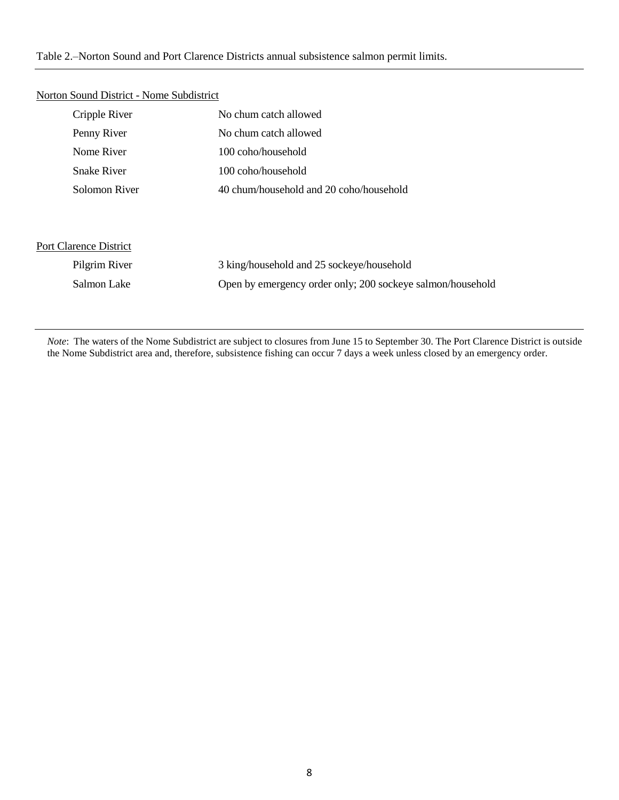#### Table 2.–Norton Sound and Port Clarence Districts annual subsistence salmon permit limits.

| Cripple River                 | No chum catch allowed                                      |
|-------------------------------|------------------------------------------------------------|
| Penny River                   | No chum catch allowed                                      |
| Nome River                    | 100 coho/household                                         |
| <b>Snake River</b>            | 100 coho/household                                         |
| Solomon River                 | 40 chum/household and 20 coho/household                    |
|                               |                                                            |
|                               |                                                            |
| <b>Port Clarence District</b> |                                                            |
| Pilgrim River                 | 3 king/household and 25 sockeye/household                  |
| Salmon Lake                   | Open by emergency order only; 200 sockeye salmon/household |

#### Norton Sound District - Nome Subdistrict

*Note*: The waters of the Nome Subdistrict are subject to closures from June 15 to September 30. The Port Clarence District is outside the Nome Subdistrict area and, therefore, subsistence fishing can occur 7 days a week unless closed by an emergency order.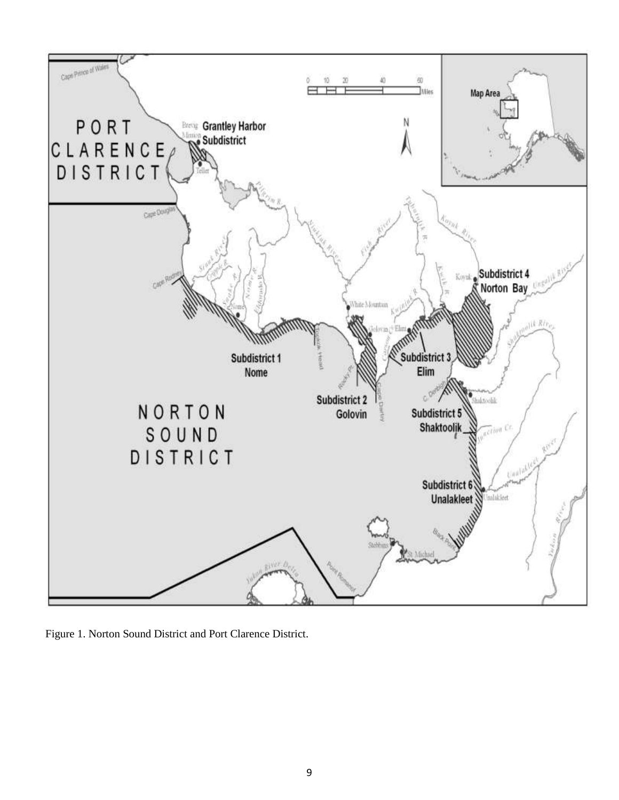

Figure 1. Norton Sound District and Port Clarence District.